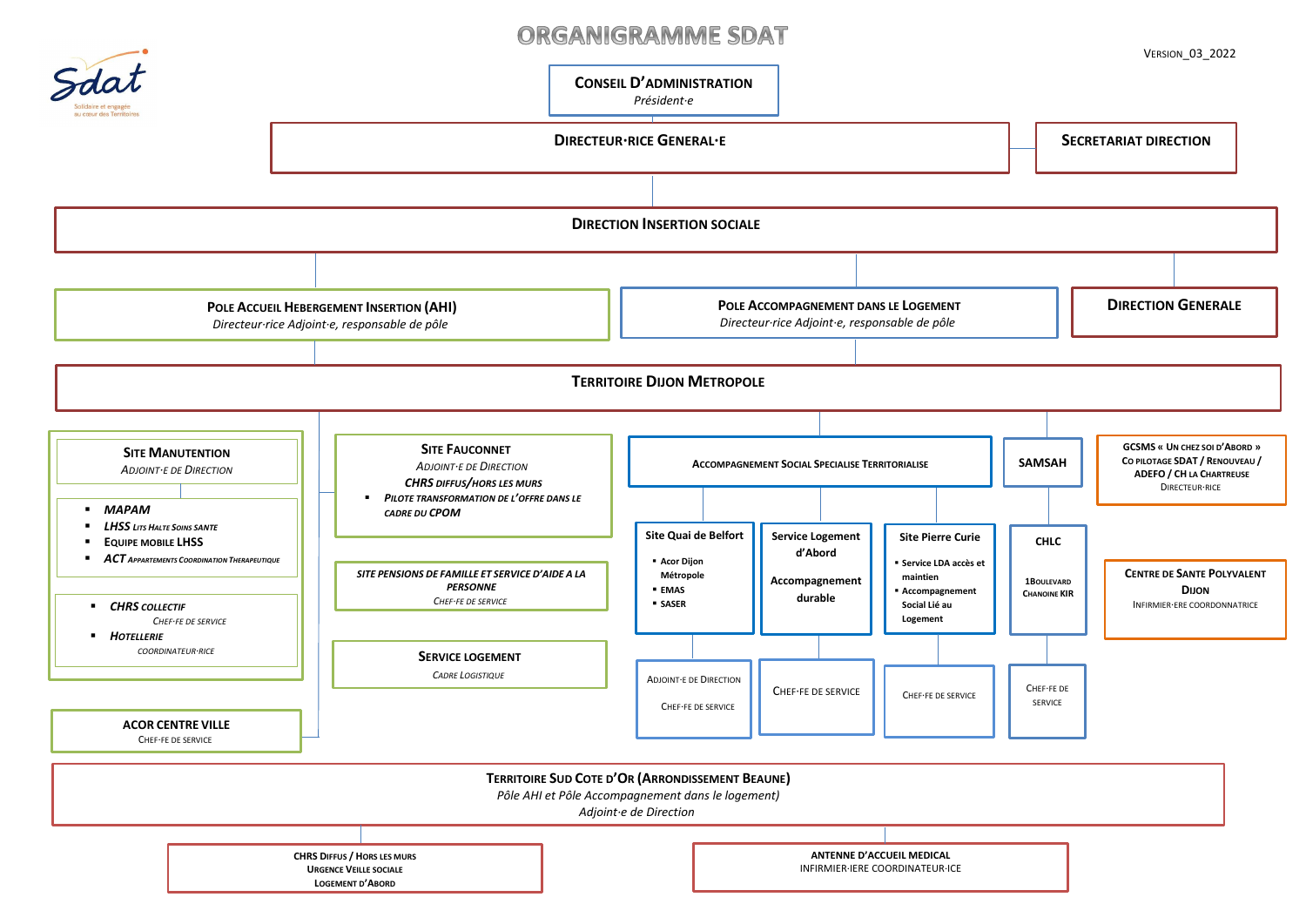